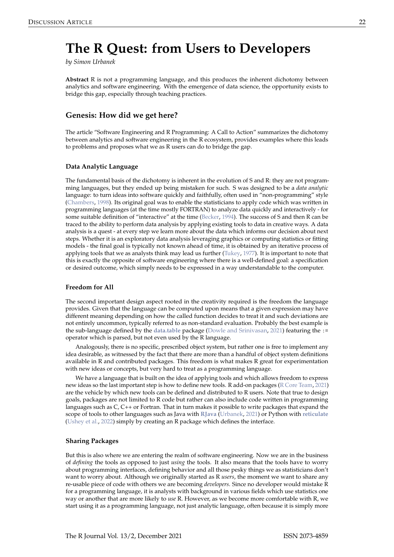# <span id="page-0-0"></span>**The R Quest: from Users to Developers**

*by Simon Urbanek*

**Abstract** R is not a programming language, and this produces the inherent dichotomy between analytics and software engineering. With the emergence of data science, the opportunity exists to bridge this gap, especially through teaching practices.

# **Genesis: How did we get here?**

The article "Software Engineering and R Programming: A Call to Action" summarizes the dichotomy between analytics and software engineering in the R ecosystem, provides examples where this leads to problems and proposes what we as R users can do to bridge the gap.

## **Data Analytic Language**

The fundamental basis of the dichotomy is inherent in the evolution of S and R: they are not programming languages, but they ended up being mistaken for such. S was designed to be a *data analytic* language: to turn ideas into software quickly and faithfully, often used in "non-programming" style [\(Chambers,](#page-2-0) [1998\)](#page-2-0). Its original goal was to enable the statisticians to apply code which was written in programming languages (at the time mostly FORTRAN) to analyze data quickly and interactively - for some suitable definition of "interactive" at the time [\(Becker,](#page-2-1) [1994\)](#page-2-1). The success of S and then R can be traced to the ability to perform data analysis by applying existing tools to data in creative ways. A data analysis is a quest - at every step we learn more about the data which informs our decision about next steps. Whether it is an exploratory data analysis leveraging graphics or computing statistics or fitting models - the final goal is typically not known ahead of time, it is obtained by an iterative process of applying tools that we as analysts think may lead us further [\(Tukey,](#page-2-2) [1977\)](#page-2-2). It is important to note that this is exactly the opposite of software engineering where there is a well-defined goal: a specification or desired outcome, which simply needs to be expressed in a way understandable to the computer.

#### **Freedom for All**

The second important design aspect rooted in the creativity required is the freedom the language provides. Given that the language can be computed upon means that a given expression may have different meaning depending on how the called function decides to treat it and such deviations are not entirely uncommon, typically referred to as non-standard evaluation. Probably the best example is the sub-language defined by the **[data.table](https://CRAN.R-project.org/package=data.table)** package [\(Dowle and Srinivasan,](#page-2-3) [2021\)](#page-2-3) featuring the := operator which is parsed, but not even used by the R language.

Analogously, there is no specific, prescribed object system, but rather one is free to implement any idea desirable, as witnessed by the fact that there are more than a handful of object system definitions available in R and contributed packages. This freedom is what makes R great for experimentation with new ideas or concepts, but very hard to treat as a programming language.

We have a language that is built on the idea of applying tools and which allows freedom to express new ideas so the last important step is how to define new tools. R add-on packages [\(R Core Team,](#page-2-4) [2021\)](#page-2-4) are the vehicle by which new tools can be defined and distributed to R users. Note that true to design goals, packages are not limited to R code but rather can also include code written in programming languages such as C, C++ or Fortran. That in turn makes it possible to write packages that expand the scope of tools to other languages such as Java with **[RJava](https://CRAN.R-project.org/package=RJava)** [\(Urbanek,](#page-2-5) [2021\)](#page-2-5) or Python with **[reticulate](https://CRAN.R-project.org/package=reticulate)** [\(Ushey et al.,](#page-2-6) [2022\)](#page-2-6) simply by creating an R package which defines the interface.

#### **Sharing Packages**

But this is also where we are entering the realm of software engineering. Now we are in the business of *defining* the tools as opposed to just *using* the tools. It also means that the tools have to worry about programming interfaces, defining behavior and all those pesky things we as statisticians don't want to worry about. Although we originally started as R *users*, the moment we want to share any re-usable piece of code with others we are becoming *developers*. Since no developer would mistake R for a programming language, it is analysts with background in various fields which use statistics one way or another that are more likely to *use* R. However, as we become more comfortable with R, we start using it as a programming language, not just analytic language, often because it is simply more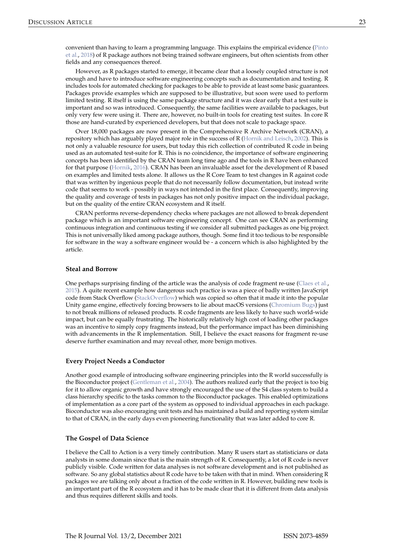<span id="page-1-0"></span>However, as R packages started to emerge, it became clear that a loosely coupled structure is not enough and have to introduce software engineering concepts such as documentation and testing. R includes tools for automated checking for packages to be able to provide at least some basic guarantees. Packages provide examples which are supposed to be illustrative, but soon were used to perform limited testing. R itself is using the same package structure and it was clear early that a test suite is important and so was introduced. Consequently, the same facilities were available to packages, but only very few were using it. There are, however, no built-in tools for creating test suites. In core R those are hand-curated by experienced developers, but that does not scale to package space.

Over 18,000 packages are now present in the Comprehensive R Archive Network (CRAN), a repository which has arguably played major role in the success of R [\(Hornik and Leisch,](#page-2-8) [2002\)](#page-2-8). This is not only a valuable resource for users, but today this rich collection of contributed R code in being used as an automated test-suite for R. This is no coincidence, the importance of software engineering concepts has been identified by the CRAN team long time ago and the tools in R have been enhanced for that purpose [\(Hornik,](#page-2-9) [2016\)](#page-2-9). CRAN has been an invaluable asset for the development of R based on examples and limited tests alone. It allows us the R Core Team to test changes in R against code that was written by ingenious people that do not necessarily follow documentation, but instead write code that seems to work - possibly in ways not intended in the first place. Consequently, improving the quality and coverage of tests in packages has not only positive impact on the individual package, but on the quality of the entire CRAN ecosystem and R itself.

CRAN performs reverse-dependency checks where packages are not allowed to break dependent package which is an important software engineering concept. One can see CRAN as performing continuous integration and continuous testing if we consider all submitted packages as one big project. This is not universally liked among package authors, though. Some find it too tedious to be responsible for software in the way a software engineer would be - a concern which is also highlighted by the article.

#### **Steal and Borrow**

One perhaps surprising finding of the article was the analysis of code fragment re-use [\(Claes et al.,](#page-2-10) [2015\)](#page-2-10). A quite recent example how dangerous such practice is was a piece of badly written JavaScript code from Stack Overflow [\(StackOverflow\)](#page-2-11) which was copied so often that it made it into the popular Unity game engine, effectively forcing browsers to lie about macOS versions [\(Chromium Bugs\)](#page-2-12) just to not break millions of released products. R code fragments are less likely to have such world-wide impact, but can be equally frustrating. The historically relatively high cost of loading other packages was an incentive to simply copy fragments instead, but the performance impact has been diminishing with advancements in the R implementation. Still, I believe the exact reasons for fragment re-use deserve further examination and may reveal other, more benign motives.

## **Every Project Needs a Conductor**

Another good example of introducing software engineering principles into the R world successfully is the Bioconductor project [\(Gentleman et al.,](#page-2-13) [2004\)](#page-2-13). The authors realized early that the project is too big for it to allow organic growth and have strongly encouraged the use of the S4 class system to build a class hierarchy specific to the tasks common to the Bioconductor packages. This enabled optimizations of implementation as a core part of the system as opposed to individual approaches in each package. Bioconductor was also encouraging unit tests and has maintained a build and reporting system similar to that of CRAN, in the early days even pioneering functionality that was later added to core R.

## **The Gospel of Data Science**

I believe the Call to Action is a very timely contribution. Many R users start as statisticians or data analysts in some domain since that is the main strength of R. Consequently, a lot of R code is never publicly visible. Code written for data analyses is not software development and is not published as software. So any global statistics about R code have to be taken with that in mind. When considering R packages we are talking only about a fraction of the code written in R. However, building new tools is an important part of the R ecosystem and it has to be made clear that it is different from data analysis and thus requires different skills and tools.